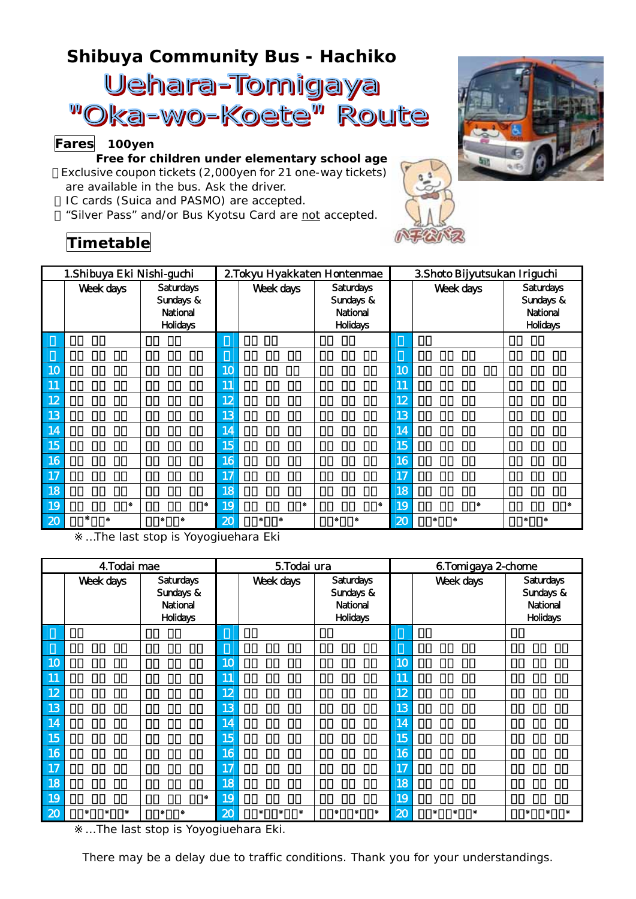## **Shibuya Community Bus -** *Hachiko*

Uehara-Tomigaya "Oka-wo-Koete" Route

## **Fares 100yen**

**Free for children under elementary school age** Exclusive coupon tickets (2,000yen for 21 one-way tickets) are available in the bus. Ask the driver. IC cards (*Suica* and *PASMO*) are accepted. "*Silver Pass*" and/or *Bus Kyotsu Card* are not accepted.

## **Timetable**

| 1.Shibuya Eki Nishi-guchi |           |                                                              | 2. Tokyu Hyakkaten Hontenmae |           |                                                       | 3. Shoto Bijyutsukan Iriguchi |           |                                                              |  |
|---------------------------|-----------|--------------------------------------------------------------|------------------------------|-----------|-------------------------------------------------------|-------------------------------|-----------|--------------------------------------------------------------|--|
|                           | Week days | <b>Saturdays</b><br>Sundays &<br>National<br><b>Holidays</b> |                              | Week days | Saturdays<br>Sundays &<br>National<br><b>Holidays</b> |                               | Week days | <b>Saturdays</b><br>Sundays &<br>National<br><b>Holidays</b> |  |
|                           |           |                                                              |                              |           |                                                       |                               |           |                                                              |  |
|                           |           |                                                              |                              |           |                                                       |                               |           |                                                              |  |
| 10                        |           |                                                              | 10                           |           |                                                       | 10                            |           |                                                              |  |
| 11                        |           |                                                              | 11                           |           |                                                       | 11                            |           |                                                              |  |
| 12                        |           |                                                              | 12                           |           |                                                       | 12                            |           |                                                              |  |
| 13                        |           |                                                              | 13                           |           |                                                       | 13                            |           |                                                              |  |
| 14                        |           |                                                              | 14                           |           |                                                       | 14                            |           |                                                              |  |
| 15                        |           |                                                              | 15                           |           |                                                       | 15                            |           |                                                              |  |
| 16                        |           |                                                              | 16                           |           |                                                       | 16                            |           |                                                              |  |
| 17                        |           |                                                              | 17                           |           |                                                       | 17                            |           |                                                              |  |
| 18                        |           |                                                              | 18                           |           |                                                       | 18                            |           |                                                              |  |
| 19                        |           |                                                              | 19                           |           |                                                       | 19                            |           |                                                              |  |
| 20                        |           |                                                              | 20                           |           |                                                       | 20                            |           |                                                              |  |

…The last stop is Yoyogiuehara Eki

| 4. Todai mae |           |                                                       | 5. Todai ura    |           |                                                       | 6.Tomigaya 2-chome         |           |                                                       |  |
|--------------|-----------|-------------------------------------------------------|-----------------|-----------|-------------------------------------------------------|----------------------------|-----------|-------------------------------------------------------|--|
|              | Week days | Saturdays<br>Sundays &<br>National<br><b>Holidays</b> |                 | Week days | Saturdays<br>Sundays &<br>National<br><b>Holidays</b> |                            | Week days | Saturdays<br>Sundays &<br>National<br><b>Holidays</b> |  |
|              |           |                                                       |                 |           |                                                       |                            |           |                                                       |  |
|              |           |                                                       |                 |           |                                                       |                            |           |                                                       |  |
| 10           |           |                                                       | 10 <sub>o</sub> |           |                                                       | 10                         |           |                                                       |  |
| 11           |           |                                                       | 11              |           |                                                       | 11                         |           |                                                       |  |
| 12           |           |                                                       | 12              |           |                                                       | 12                         |           |                                                       |  |
| 13           |           |                                                       | 13              |           |                                                       | 13                         |           |                                                       |  |
| 14           |           |                                                       | 14              |           |                                                       | 14                         |           |                                                       |  |
| 15           |           |                                                       | 15              |           |                                                       | 15                         |           |                                                       |  |
| 16           |           |                                                       | 16              |           |                                                       | 16                         |           |                                                       |  |
| 17           |           |                                                       | 17              |           |                                                       | 17                         |           |                                                       |  |
| 18           |           |                                                       | $\overline{18}$ |           |                                                       | 18                         |           |                                                       |  |
| 19           |           |                                                       | 19              |           |                                                       | 19                         |           |                                                       |  |
| 20           |           |                                                       | 20              |           |                                                       | $\boldsymbol{\mathcal{Z}}$ |           |                                                       |  |

... The last stop is Yoyogiuehara Eki.

There may be a delay due to traffic conditions. Thank you for your understandings.



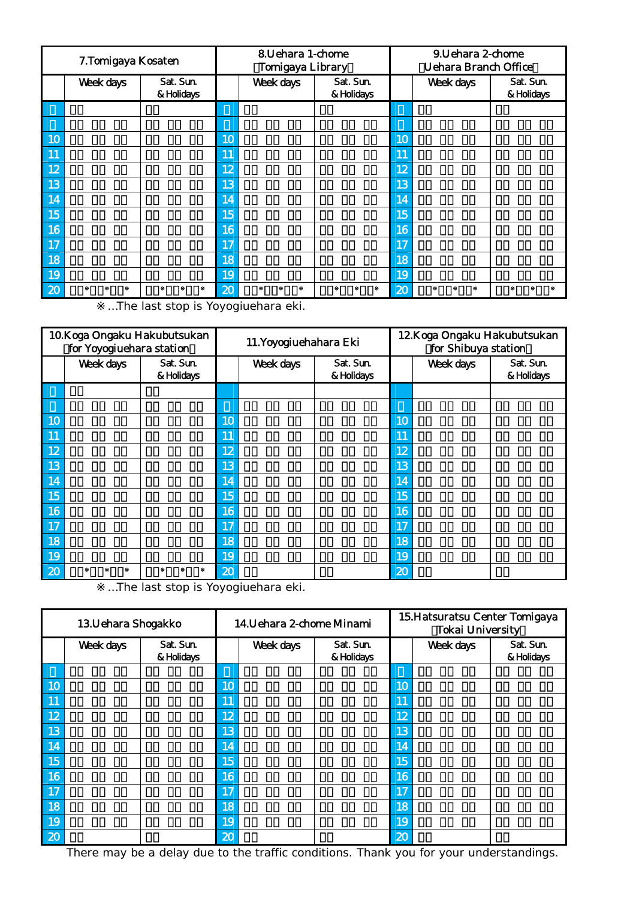| 7. Tomigaya Kosaten |           |                         | 8. Uehara 1-chome<br><b>Tomigaya Library</b> |                  |                         | 9. Uehara 2-chome<br><b>Uehara Branch Office</b> |           |                         |
|---------------------|-----------|-------------------------|----------------------------------------------|------------------|-------------------------|--------------------------------------------------|-----------|-------------------------|
|                     | Week days | Sat. Sun.<br>& Holidays |                                              | <b>Week days</b> | Sat. Sun.<br>& Holidays |                                                  | Week days | Sat. Sun.<br>& Holidays |
|                     |           |                         |                                              |                  |                         |                                                  |           |                         |
|                     |           |                         |                                              |                  |                         |                                                  |           |                         |
| 10                  |           |                         | 10                                           |                  |                         | 10                                               |           |                         |
| 11                  |           |                         | 11                                           |                  |                         | 11                                               |           |                         |
| 12                  |           |                         | 12                                           |                  |                         | 12                                               |           |                         |
| 13                  |           |                         | 13                                           |                  |                         | 13                                               |           |                         |
| 14                  |           |                         | 14                                           |                  |                         | 14                                               |           |                         |
| 15                  |           |                         | 15                                           |                  |                         | 15                                               |           |                         |
| 16                  |           |                         | 16                                           |                  |                         | 16                                               |           |                         |
| 17                  |           |                         | 17                                           |                  |                         | 17                                               |           |                         |
| 18                  |           |                         | 18                                           |                  |                         | 18                                               |           |                         |
| 19                  |           |                         | 19                                           |                  |                         | 19                                               |           |                         |
| $\mathbf{z}$        |           |                         | 20                                           |                  |                         | 20                                               |           |                         |

…The last stop is Yoyogiuehara eki.

| 10. Koga Ongaku Hakubutsukan<br>for Yoyogiuehara station |           |                         | 11. Yoyogiuehahara Eki |           |                         | 12. Koga Ongaku Hakubutsukan<br>for Shibuya station |           |                         |
|----------------------------------------------------------|-----------|-------------------------|------------------------|-----------|-------------------------|-----------------------------------------------------|-----------|-------------------------|
|                                                          | Week days | Sat. Sun.<br>& Holidays |                        | Week days | Sat. Sun.<br>& Holidays |                                                     | Week days | Sat. Sun.<br>& Holidays |
|                                                          |           |                         |                        |           |                         |                                                     |           |                         |
|                                                          |           |                         |                        |           |                         |                                                     |           |                         |
| 10 <sub>1</sub>                                          |           |                         | 10                     |           |                         | 10                                                  |           |                         |
| 11                                                       |           |                         | 11                     |           |                         | 11                                                  |           |                         |
| 12                                                       |           |                         | 12                     |           |                         | 12                                                  |           |                         |
| 13                                                       |           |                         | 13                     |           |                         | 13                                                  |           |                         |
| 14                                                       |           |                         | 14                     |           |                         | 14                                                  |           |                         |
| 15                                                       |           |                         | 15                     |           |                         | 15                                                  |           |                         |
| 16                                                       |           |                         | 16                     |           |                         | 16                                                  |           |                         |
| 17                                                       |           |                         | 17                     |           |                         | 17                                                  |           |                         |
| 18                                                       |           |                         | 18                     |           |                         | 18                                                  |           |                         |
| 19                                                       |           |                         | 19                     |           |                         | 19                                                  |           |                         |
| 20                                                       |           |                         | 20                     |           |                         | 20                                                  |           |                         |

…The last stop is Yoyogiuehara eki.

| 13. Uehara Shogakko |           |                         | 14. Uehara 2-chome Minami |           |                         | 15. Hatsuratsu Center Tomigaya<br><b>Tokai University</b> |           |                         |
|---------------------|-----------|-------------------------|---------------------------|-----------|-------------------------|-----------------------------------------------------------|-----------|-------------------------|
|                     | Week days | Sat. Sun.<br>& Holidays |                           | Week days | Sat. Sun.<br>& Holidays |                                                           | Week days | Sat. Sun.<br>& Holidays |
|                     |           |                         |                           |           |                         |                                                           |           |                         |
| 10                  |           |                         | 10                        |           |                         | 10                                                        |           |                         |
| 11                  |           |                         | 11                        |           |                         | 11                                                        |           |                         |
| 12                  |           |                         | 12                        |           |                         | 12                                                        |           |                         |
| 13                  |           |                         | 13                        |           |                         | 13                                                        |           |                         |
| 14                  |           |                         | 14                        |           |                         | 14                                                        |           |                         |
| 15                  |           |                         | 15                        |           |                         | 15                                                        |           |                         |
| 16                  |           |                         | 16                        |           |                         | 16                                                        |           |                         |
| 17                  |           |                         | 17                        |           |                         | 17                                                        |           |                         |
| 18                  |           |                         | 18                        |           |                         | 18                                                        |           |                         |
| 19                  |           |                         | 19                        |           |                         | 19                                                        |           |                         |
| 20                  |           |                         | 20                        |           |                         | 20                                                        |           |                         |

There may be a delay due to the traffic conditions. Thank you for your understandings.